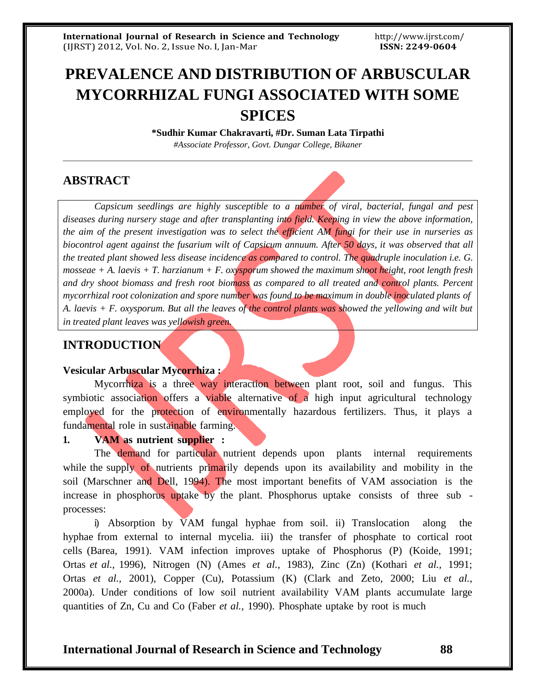# **PREVALENCE AND DISTRIBUTION OF ARBUSCULAR MYCORRHIZAL FUNGI ASSOCIATED WITH SOME SPICES**

**\*Sudhir Kumar Chakravarti, #Dr. Suman Lata Tirpathi** *#Associate Professor, Govt. Dungar College, Bikaner*

# **ABSTRACT**

*Capsicum seedlings are highly susceptible to a number of viral, bacterial, fungal and pest diseases during nursery stage and after transplanting into field. Keeping in view the above information, the aim of the present investigation was to select the efficient AM fungi for their use in nurseries as biocontrol agent against the fusarium wilt of Capsicum annuum. After 50 days, it was observed that all the treated plant showed less disease incidence as compared to control. The quadruple inoculation i.e. G. mosseae + A. laevis + T. harzianum + F. oxysporum showed the maximum shoot height, root length fresh and dry shoot biomass and fresh root biomass as compared to all treated and control plants. Percent mycorrhizal root colonization and spore number was found to be maximum in double inoculated plants of* A. laevis  $+ F$ . oxysporum. But all the leaves of the control plants was showed the yellowing and wilt but *in treated plant leaves was yellowish green.*

## **INTRODUCTION**

#### **Vesicular Arbuscular Mycorrhiza :**

Mycorrhiza is a three way interaction between plant root, soil and fungus. This symbiotic association offers a viable alternative of a high input agricultural technology employed for the protection of environmentally hazardous fertilizers. Thus, it plays a fundamental role in sustainable farming.

#### **1. VAM as nutrient supplier :**

The demand for particular nutrient depends upon plants internal requirements while the supply of nutrients primarily depends upon its availability and mobility in the soil (Marschner and Dell, 1994). The most important benefits of VAM association is the increase in phosphorus uptake by the plant. Phosphorus uptake consists of three sub processes:

i) Absorption by  $\bar{V}$ AM fungal hyphae from soil. ii) Translocation along the hyphae from external to internal mycelia. iii) the transfer of phosphate to cortical root cells (Barea, 1991). VAM infection improves uptake of Phosphorus (P) (Koide, 1991; Ortas *et al.,* 1996), Nitrogen (N) (Ames *et al.,* 1983), Zinc (Zn) (Kothari *et al.,* 1991; Ortas *et al.,* 2001), Copper (Cu), Potassium (K) (Clark and Zeto, 2000; Liu *et al.,* 2000a). Under conditions of low soil nutrient availability VAM plants accumulate large quantities of Zn, Cu and Co (Faber *et al.,* 1990). Phosphate uptake by root is much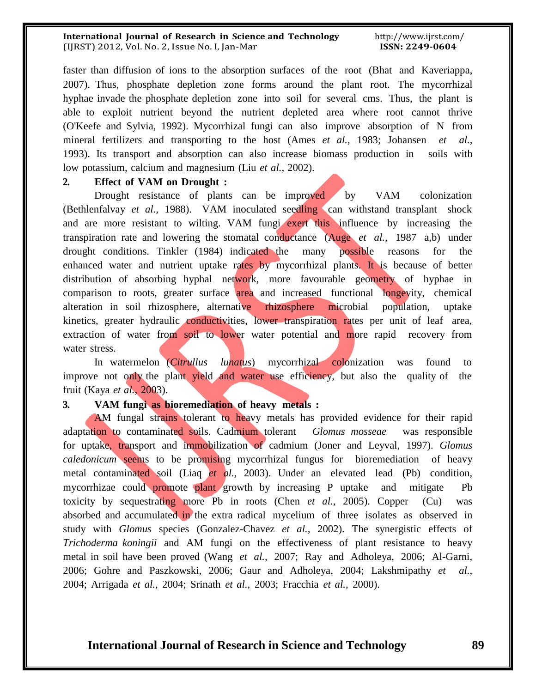#### **International Journal of Research in Science and Technology** (IJRST) 2012, Vol. No. 2, Issue No. I, Jan-Mar

faster than diffusion of ions to the absorption surfaces of the root (Bhat and Kaveriappa, 2007). Thus, phosphate depletion zone forms around the plant root. The mycorrhizal hyphae invade the phosphate depletion zone into soil for several cms. Thus, the plant is able to exploit nutrient beyond the nutrient depleted area where root cannot thrive (O'Keefe and Sylvia, 1992). Mycorrhizal fungi can also improve absorption of N from mineral fertilizers and transporting to the host (Ames *et al.,* 1983; Johansen *et al.,* 1993). Its transport and absorption can also increase biomass production in soils with low potassium, calcium and magnesium (Liu *et al.,* 2002).

#### **2. Effect of VAM on Drought :**

Drought resistance of plants can be improved by VAM colonization (Bethlenfalvay *et al.,* 1988). VAM inoculated seedling can withstand transplant shock and are more resistant to wilting. VAM fungi exert this influence by increasing the transpiration rate and lowering the stomatal conductance (Auge *et al.,* 1987 a,b) under drought conditions. Tinkler (1984) indicated the many possible reasons for the enhanced water and nutrient uptake rates by mycorrhizal plants. It is because of better distribution of absorbing hyphal network, more favourable geometry of hyphae in comparison to roots, greater surface area and increased functional longevity, chemical alteration in soil rhizosphere, alternative rhizosphere microbial population, uptake kinetics, greater hydraulic conductivities, lower transpiration rates per unit of leaf area, extraction of water from soil to lower water potential and more rapid recovery from water stress.

In watermelon (*Citrullus lunatus*) mycorrhizal colonization was found to improve not only the plant yield and water use efficiency, but also the quality of the fruit (Kaya *et al.,* 2003).

# **3. VAM fungi as bioremediation of heavy metals :**

AM fungal strains tolerant to heavy metals has provided evidence for their rapid adaptation to contaminated soils. Cadmium tolerant *Glomus mosseae* was responsible for uptake, transport and immobilization of cadmium (Joner and Leyval, 1997). *Glomus caledonicum* seems to be promising mycorrhizal fungus for bioremediation of heavy metal contaminated soil (Liaq *et al.,* 2003). Under an elevated lead (Pb) condition, mycorrhizae could promote plant growth by increasing P uptake and mitigate Pb toxicity by sequestrating more Pb in roots (Chen *et al.,* 2005). Copper (Cu) was absorbed and accumulated in the extra radical mycelium of three isolates as observed in study with *Glomus* species (Gonzalez-Chavez *et al.,* 2002). The synergistic effects of *Trichoderma koningii* and AM fungi on the effectiveness of plant resistance to heavy metal in soil have been proved (Wang *et al.,* 2007; Ray and Adholeya, 2006; Al-Garni, 2006; Gohre and Paszkowski, 2006; Gaur and Adholeya, 2004; Lakshmipathy *et al.,* 2004; Arrigada *et al.,* 2004; Srinath *et al.,* 2003; Fracchia *et al.,* 2000).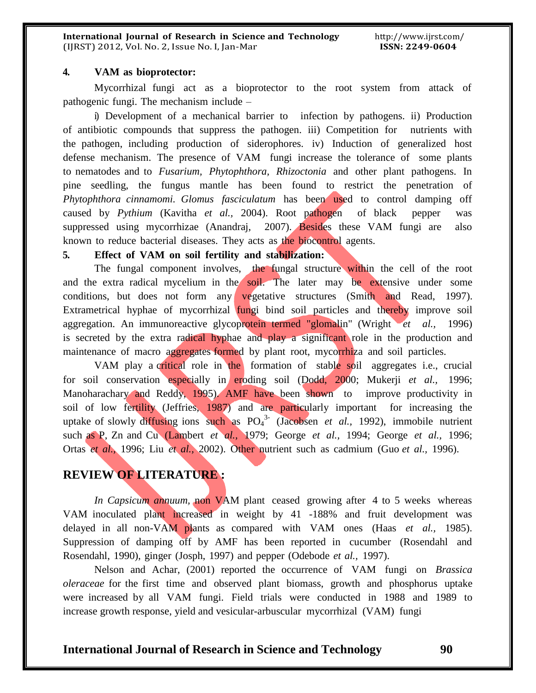#### **4. VAM as bioprotector:**

Mycorrhizal fungi act as a bioprotector to the root system from attack of pathogenic fungi. The mechanism include –

i) Development of a mechanical barrier to infection by pathogens. ii) Production of antibiotic compounds that suppress the pathogen. iii) Competition for nutrients with the pathogen, including production of siderophores. iv) Induction of generalized host defense mechanism. The presence of VAM fungi increase the tolerance of some plants to nematodes and to *Fusarium, Phytophthora, Rhizoctonia* and other plant pathogens. In pine seedling, the fungus mantle has been found to restrict the penetration of *Phytophthora cinnamomi. Glomus fasciculatum* has been used to control damping off caused by *Pythium* (Kavitha *et al.,* 2004). Root pathogen of black pepper was suppressed using mycorrhizae (Anandraj, 2007). Besides these VAM fungi are also known to reduce bacterial diseases. They acts as the biocontrol agents.

#### **5. Effect of VAM on soil fertility and stabilization:**

The fungal component involves, the fungal structure within the cell of the root and the extra radical mycelium in the soil. The later may be extensive under some conditions, but does not form any vegetative structures (Smith and Read, 1997). Extrametrical hyphae of mycorrhizal fungi bind soil particles and thereby improve soil aggregation. An immunoreactive glycoprotein termed "glomalin" (Wright *et al.,* 1996) is secreted by the extra radical hyphae and play a significant role in the production and maintenance of macro aggregates formed by plant root, mycorrhiza and soil particles.

VAM play a critical role in the formation of stable soil aggregates i.e., crucial for soil conservation especially in eroding soil (Dodd, 2000; Mukerji *et al.,* 1996; Manoharachary and Reddy, 1995). AMF have been shown to improve productivity in soil of low fertility (Jeffries, 1987) and are particularly important for increasing the uptake of slowly diffusing ions such as PO<sup>4</sup> 3- (Jacobsen *et al.,* 1992), immobile nutrient such as P, Zn and Cu (Lambert *et al.,* 1979; George *et al.,* 1994; George *et al.,* 1996; Ortas *et al.,* 1996; Liu *et al.,* 2002). Other nutrient such as cadmium (Guo *et al.,* 1996).

# **REVIEW OF LITERATURE :**

*In Capsicum annuum,* non VAM plant ceased growing after 4 to 5 weeks whereas VAM inoculated plant increased in weight by 41 -188% and fruit development was delayed in all non-VAM plants as compared with VAM ones (Haas *et al.,* 1985). Suppression of damping off by AMF has been reported in cucumber (Rosendahl and Rosendahl, 1990), ginger (Josph, 1997) and pepper (Odebode *et al.,* 1997).

Nelson and Achar, (2001) reported the occurrence of VAM fungi on *Brassica oleraceae* for the first time and observed plant biomass, growth and phosphorus uptake were increased by all VAM fungi. Field trials were conducted in 1988 and 1989 to increase growth response, yield and vesicular-arbuscular mycorrhizal (VAM) fungi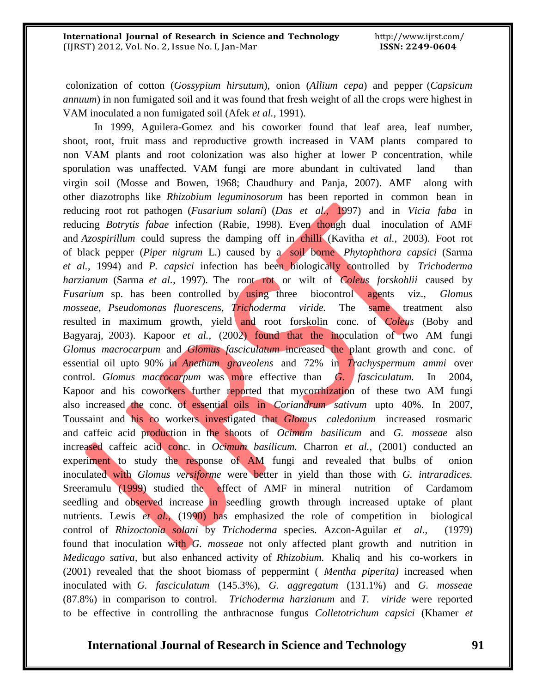colonization of cotton (*Gossypium hirsutum*), onion (*Allium cepa*) and pepper (*Capsicum annuum*) in non fumigated soil and it was found that fresh weight of all the crops were highest in VAM inoculated a non fumigated soil (Afek *et al.,* 1991).

In 1999, Aguilera-Gomez and his coworker found that leaf area, leaf number, shoot, root, fruit mass and reproductive growth increased in VAM plants compared to non VAM plants and root colonization was also higher at lower P concentration, while sporulation was unaffected. VAM fungi are more abundant in cultivated land than virgin soil (Mosse and Bowen, 1968; Chaudhury and Panja, 2007). AMF along with other diazotrophs like *Rhizobium leguminosorum* has been reported in common bean in reducing root rot pathogen (*Fusarium solani*) (*Das et al.,* 1997) and in *Vicia faba* in reducing *Botrytis fabae* infection (Rabie, 1998). Even though dual inoculation of AMF and *Azospirillum* could supress the damping off in chilli (Kavitha *et al.,* 2003). Foot rot of black pepper (*Piper nigrum* L.) caused by a soil borne *Phytophthora capsici* (Sarma *et al.,* 1994) and *P. capsici* infection has been biologically controlled by *Trichoderma harzianum* (Sarma *et al.,* 1997). The root rot or wilt of *Coleus forskohlii* caused by *Fusarium* sp. has been controlled by using three biocontrol agents viz., *Glomus mosseae, Pseudomonas fluorescens, Trichoderma viride.* The same treatment also resulted in maximum growth, yield and root forskolin conc. of *Coleus* (Boby and Bagyaraj, 2003). Kapoor *et al.,* (2002) found that the inoculation of two AM fungi *Glomus macrocarpum* and *Glomus fasciculatum* increased the plant growth and conc. of essential oil upto 90% in *Anethum graveolens* and 72% in *Trachyspermum ammi* over control. *Glomus macrocarpum* was more effective than *G. fasciculatum.* In 2004, Kapoor and his coworkers further reported that mycorrhization of these two AM fungi also increased the conc. of essential oils in *Coriandrum sativum* upto 40%. In 2007, Toussaint and his co workers investigated that *Glomus caledonium* increased rosmaric and caffeic acid production in the shoots of *Ocimum basilicum* and *G. mosseae* also increased caffeic acid conc. in *Ocimum basilicum.* Charron *et al.,* (2001) conducted an experiment to study the response of AM fungi and revealed that bulbs of onion inoculated with *Glomus versiforme* were better in yield than those with *G. intraradices.* Sreeramulu (1999) studied the effect of AMF in mineral nutrition of Cardamom seedling and observed increase in seedling growth through increased uptake of plant nutrients. Lewis *et al.,* (1990) has emphasized the role of competition in biological control of *Rhizoctonia solani* by *Trichoderma* species. Azcon-Aguilar *et al.,* (1979) found that inoculation with *G. mosseae* not only affected plant growth and nutrition in *Medicago sativa,* but also enhanced activity of *Rhizobium.* Khaliq and his co-workers in (2001) revealed that the shoot biomass of peppermint ( *Mentha piperita)* increased when inoculated with *G. fasciculatum* (145.3%), *G. aggregatum* (131.1%) and *G. mosseae* (87.8%) in comparison to control. *Trichoderma harzianum* and *T. viride* were reported to be effective in controlling the anthracnose fungus *Colletotrichum capsici* (Khamer *et*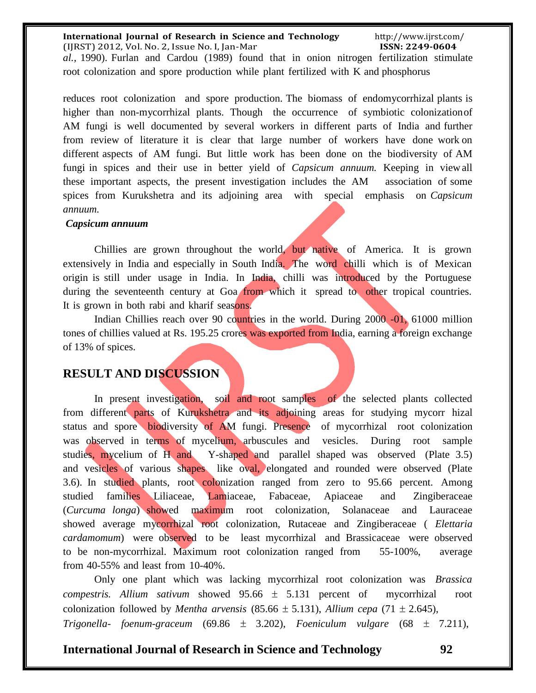#### **International Journal of Research in Science and Technology** (IJRST) 2012, Vol. No. 2, Issue No. I, Jan-Mar http://www.ijrst.com/ **ISSN: 2249-0604** *al.,* 1990). Furlan and Cardou (1989) found that in onion nitrogen fertilization stimulate root colonization and spore production while plant fertilized with K and phosphorus

reduces root colonization and spore production. The biomass of endomycorrhizal plants is higher than non-mycorrhizal plants. Though the occurrence of symbiotic colonizationof AM fungi is well documented by several workers in different parts of India and further from review of literature it is clear that large number of workers have done work on different aspects of AM fungi. But little work has been done on the biodiversity of AM fungi in spices and their use in better yield of *Capsicum annuum.* Keeping in viewall these important aspects, the present investigation includes the AM association of some spices from Kurukshetra and its adjoining area with special emphasis on *Capsicum annuum.*

#### *Capsicum annuum*

Chillies are grown throughout the world, but native of America. It is grown extensively in India and especially in South India. The word chilli which is of Mexican origin is still under usage in India. In India, chilli was introduced by the Portuguese during the seventeenth century at Goa from which it spread to other tropical countries. It is grown in both rabi and kharif seasons.

Indian Chillies reach over 90 countries in the world. During 2000 -01, 61000 million tones of chillies valued at Rs. 195.25 crores was exported from India, earning a foreign exchange of 13% of spices.

# **RESULT AND DISCUSSION**

In present investigation, soil and root samples of the selected plants collected from different parts of Kurukshetra and its adjoining areas for studying mycorr hizal status and spore biodiversity of AM fungi. Presence of mycorrhizal root colonization was observed in terms of mycelium, arbuscules and vesicles. During root sample studies, mycelium of H and Y-shaped and parallel shaped was observed (Plate 3.5) and vesicles of various shapes like oval, elongated and rounded were observed (Plate 3.6). In studied plants, root colonization ranged from zero to 95.66 percent. Among studied families Liliaceae, Lamiaceae, Fabaceae, Apiaceae and Zingiberaceae (*Curcuma longa*) showed maximum root colonization, Solanaceae and Lauraceae showed average mycorrhizal root colonization, Rutaceae and Zingiberaceae ( *Elettaria cardamomum*) were observed to be least mycorrhizal and Brassicaceae were observed to be non-mycorrhizal. Maximum root colonization ranged from 55-100%, average from 40-55% and least from 10-40%.

Only one plant which was lacking mycorrhizal root colonization was *Brassica compestris. Allium sativum* showed  $95.66 \pm 5.131$  percent of mycorrhizal root colonization followed by *Mentha arvensis* (85.66  $\pm$  5.131), *Allium cepa* (71  $\pm$  2.645), *Trigonella- foenum-graceum* (69.86  $\pm$  3.202), *Foeniculum vulgare* (68  $\pm$  7.211),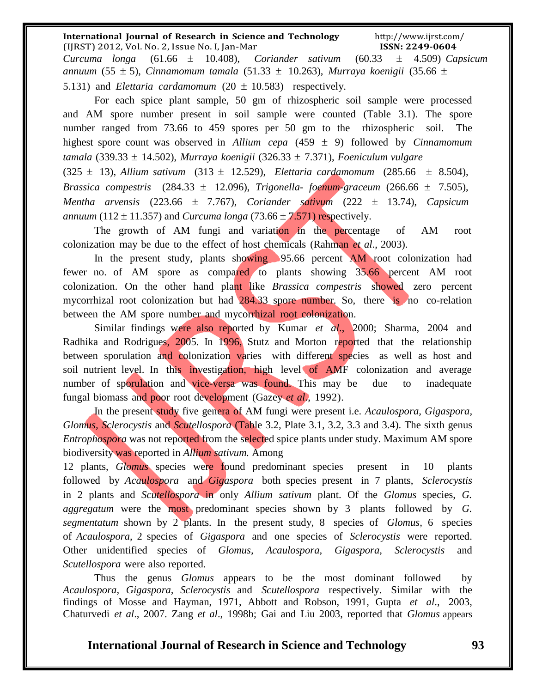#### **International Journal of Research in Science and Technology** (IJRST) 2012, Vol. No. 2, Issue No. I, Jan-Mar http://www.ijrst.com/ **ISSN: 2249-0604** *Curcuma longa* (61.66  $\pm$  10.408), *Coriander sativum* (60.33  $\pm$  4.509) *Capsicum annuum* (55 ± 5), *Cinnamomum tamala* (51.33 ± 10.263), *Murraya koenigii* (35.66 ±

5.131) and *Elettaria cardamomum*  $(20 \pm 10.583)$  respectively.

For each spice plant sample, 50 gm of rhizospheric soil sample were processed and AM spore number present in soil sample were counted (Table 3.1). The spore number ranged from 73.66 to 459 spores per 50 gm to the rhizospheric soil. The highest spore count was observed in *Allium cepa* (459  $\pm$  9) followed by *Cinnamomum tamala* (339.33 14.502), *Murraya koenigii* (326.33 7.371), *Foeniculum vulgare*

 $(325 \pm 13)$ , *Allium sativum*  $(313 \pm 12.529)$ , *Elettaria cardamomum*  $(285.66 \pm 8.504)$ , *Brassica compestris*  $(284.33 \pm 12.096)$ , *Trigonella-foenum-graceum*  $(266.66 \pm 7.505)$ , *Mentha arvensis* (223.66 ± 7.767), *Coriander sativum* (222 ± 13.74), *Capsicum annuum* (112  $\pm$  11.357) and *Curcuma longa* (73.66  $\pm$  7.571) respectively.

The growth of AM fungi and variation in the percentage of AM root colonization may be due to the effect of host chemicals (Rahman *et al*., 2003).

In the present study, plants showing 95.66 percent AM root colonization had fewer no. of AM spore as compared to plants showing 35.66 percent AM root colonization. On the other hand plant like *Brassica compestris* showed zero percent mycorrhizal root colonization but had  $284.33$  spore number. So, there is no co-relation between the AM spore number and mycorrhizal root colonization.

Similar findings were also reported by Kumar *et al*., 2000; Sharma, 2004 and Radhika and Rodrigues, 2005. In 1996, Stutz and Morton reported that the relationship between sporulation and colonization varies with different species as well as host and soil nutrient level. In this investigation, high level of AMF colonization and average number of sporulation and vice-versa was found. This may be due to inadequate fungal biomass and poor root development (Gazey *et al*., 1992).

In the present study five genera of AM fungi were present i.e. *Acaulospora, Gigaspora, Glomus, Sclerocystis* and *Scutellospora* (Table 3.2, Plate 3.1, 3.2, 3.3 and 3.4). The sixth genus *Entrophospora* was not reported from the selected spice plants under study. Maximum AM spore biodiversity was reported in *Allium sativum.* Among

12 plants, *Glomus* species were found predominant species present in 10 plants followed by *Acaulospora* and *Gigaspora* both species present in 7 plants, *Sclerocystis* in 2 plants and *Scutellospora* in only *Allium sativum* plant. Of the *Glomus* species, *G. aggregatum* were the most predominant species shown by 3 plants followed by *G. segmentatum* shown by 2 plants. In the present study, 8 species of *Glomus,* 6 species of *Acaulospora*, 2 species of *Gigaspora* and one species of *Sclerocystis* were reported. Other unidentified species of *Glomus, Acaulospora, Gigaspora, Sclerocystis* and *Scutellospora* were also reported.

Thus the genus *Glomus* appears to be the most dominant followed by *Acaulospora, Gigaspora, Sclerocystis* and *Scutellospora* respectively. Similar with the findings of Mosse and Hayman, 1971, Abbott and Robson, 1991, Gupta *et al*., 2003, Chaturvedi *et al*., 2007. Zang *et al*., 1998b; Gai and Liu 2003, reported that *Glomus* appears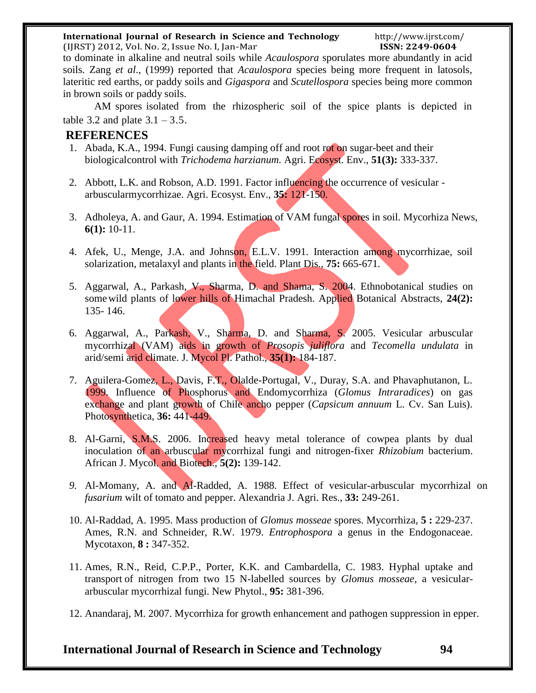#### **International Journal of Research in Science and Technology**

(IJRST) 2012, Vol. No. 2, Issue No. I, Jan-Mar to dominate in alkaline and neutral soils while *Acaulospora* sporulates more abundantly in acid soils. Zang *et al*., (1999) reported that *Acaulospora* species being more frequent in latosols, lateritic red earths, or paddy soils and *Gigaspora* and *Scutellospora* species being more common in brown soils or paddy soils.

AM spores isolated from the rhizospheric soil of the spice plants is depicted in table 3.2 and plate  $3.1 - 3.5$ .

# **REFERENCES**

- 1. Abada, K.A., 1994. Fungi causing damping off and root rot on sugar-beet and their biologicalcontrol with *Trichodema harzianum.* Agri. Ecosyst. Env., **51(3):** 333-337.
- 2. Abbott, L.K. and Robson, A.D. 1991. Factor influencing the occurrence of vesicular arbuscularmycorrhizae. Agri. Ecosyst. Env., **35:** 121-150.
- 3. Adholeya, A. and Gaur, A. 1994. Estimation of VAM fungal spores in soil. Mycorhiza News, **6(1):** 10-11.
- 4. Afek, U., Menge, J.A. and Johnson, E.L.V. 1991. Interaction among mycorrhizae, soil solarization, metalaxyl and plants in the field. Plant Dis., **75:** 665-671.
- 5. Aggarwal, A., Parkash, V., Sharma, D. and Shama, S. 2004. Ethnobotanical studies on somewild plants of lower hills of Himachal Pradesh. Applied Botanical Abstracts, **24(2):**  135- 146.
- 6. Aggarwal, A., Parkash, V., Sharma, D. and Sharma, S. 2005. Vesicular arbuscular mycorrhizal (VAM) aids in growth of *Prosopis juliflora* and *Tecomella undulata* in arid/semi arid climate. J. Mycol Pl. Pathol., **35(1):** 184-187.
- 7. Aguilera-Gomez, L., Davis, F.T., Olalde-Portugal, V., Duray, S.A. and Phavaphutanon, L. 1999. Influence of Phosphorus and Endomycorrhiza (*Glomus Intraradices*) on gas exchange and plant growth of Chile ancho pepper (*Capsicum annuum* L. Cv. San Luis). Photosynthetica, **36:** 441-449.
- 8. Al-Garni, S.M.S. 2006. Increased heavy metal tolerance of cowpea plants by dual inoculation of an arbuscular mycorrhizal fungi and nitrogen-fixer *Rhizobium* bacterium. African J. Mycol. and Biotech., **5(2):** 139-142.
- *9.* Al-Momany, A. and Al-Radded, A. 1988. Effect of vesicular-arbuscular mycorrhizal on *fusarium* wilt of tomato and pepper. Alexandria J. Agri. Res., **33:** 249-261.
- 10. Al-Raddad, A. 1995. Mass production of *Glomus mosseae* spores. Mycorrhiza, **5 :** 229-237. Ames, R.N. and Schneider, R.W. 1979. *Entrophospora* a genus in the Endogonaceae. Mycotaxon, **8 :** 347-352.
- 11. Ames, R.N., Reid, C.P.P., Porter, K.K. and Cambardella, C. 1983. Hyphal uptake and transport of nitrogen from two 15 N-labelled sources by *Glomus mosseae*, a vesiculararbuscular mycorrhizal fungi. New Phytol., **95:** 381-396.
- 12. Anandaraj, M. 2007. Mycorrhiza for growth enhancement and pathogen suppression in epper.